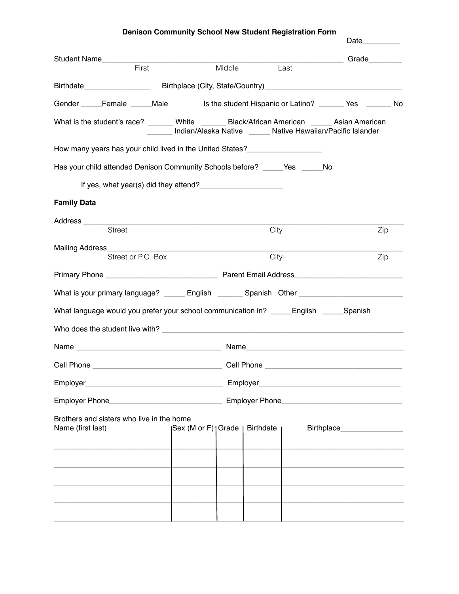## **Denison Community School New Student Registration Form**

|                     |                                                                                               |                                                              |      | Date <b>Date</b>                                                                                     |
|---------------------|-----------------------------------------------------------------------------------------------|--------------------------------------------------------------|------|------------------------------------------------------------------------------------------------------|
| <b>Student Name</b> |                                                                                               |                                                              |      | Grade_________                                                                                       |
|                     | First                                                                                         | Middle                                                       | Last |                                                                                                      |
|                     |                                                                                               |                                                              |      | Birthdate _______________________Birthplace (City, State/Country)___________________________________ |
|                     |                                                                                               |                                                              |      | Gender Female ____Male is the student Hispanic or Latino? ______ Yes ______ No                       |
|                     | What is the student's race? _______ White _______ Black/African American _____ Asian American | Indian/Alaska Native ______ Native Hawaiian/Pacific Islander |      |                                                                                                      |
|                     | How many years has your child lived in the United States?_______________________              |                                                              |      |                                                                                                      |
|                     | Has your child attended Denison Community Schools before? ______Yes ______No                  |                                                              |      |                                                                                                      |
|                     | If yes, what year(s) did they attend?                                                         |                                                              |      |                                                                                                      |
| <b>Family Data</b>  |                                                                                               |                                                              |      |                                                                                                      |
|                     |                                                                                               |                                                              |      |                                                                                                      |
|                     | <b>Street</b>                                                                                 |                                                              | City | Zip                                                                                                  |
|                     | Street or P.O. Box                                                                            |                                                              | City | Zip                                                                                                  |
|                     |                                                                                               |                                                              |      |                                                                                                      |
|                     |                                                                                               |                                                              |      |                                                                                                      |
|                     |                                                                                               |                                                              |      | What is your primary language? ______ English _______ Spanish Other ________________________________ |
|                     | What language would you prefer your school communication in? _____English _____Spanish        |                                                              |      |                                                                                                      |
|                     |                                                                                               |                                                              |      |                                                                                                      |
|                     |                                                                                               |                                                              |      |                                                                                                      |
|                     |                                                                                               |                                                              |      |                                                                                                      |
|                     |                                                                                               |                                                              |      |                                                                                                      |
|                     |                                                                                               |                                                              |      |                                                                                                      |
|                     | Brothers and sisters who live in the home                                                     |                                                              |      |                                                                                                      |
|                     |                                                                                               |                                                              |      |                                                                                                      |
|                     |                                                                                               |                                                              |      |                                                                                                      |
|                     |                                                                                               |                                                              |      |                                                                                                      |
|                     |                                                                                               |                                                              |      |                                                                                                      |
|                     |                                                                                               |                                                              |      |                                                                                                      |
|                     |                                                                                               |                                                              |      |                                                                                                      |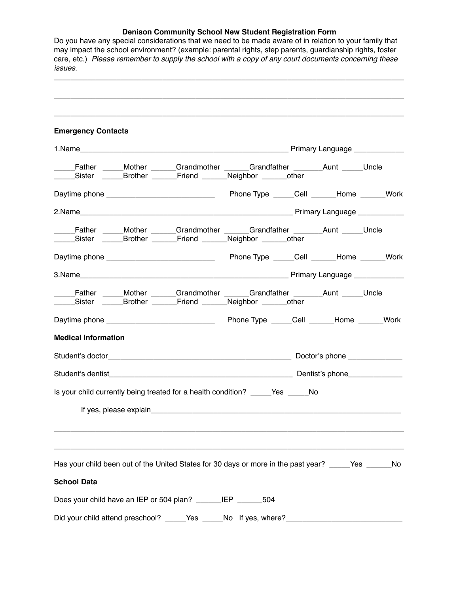## **Denison Community School New Student Registration Form**

Do you have any special considerations that we need to be made aware of in relation to your family that may impact the school environment? (example: parental rights, step parents, guardianship rights, foster care, etc.) *Please remember to supply the school with a copy of any court documents concerning these issues.* \_\_\_\_\_\_\_\_\_\_\_\_\_\_\_\_\_\_\_\_\_\_\_\_\_\_\_\_\_\_\_\_\_\_\_\_\_\_\_\_\_\_\_\_\_\_\_\_\_\_\_\_\_\_\_\_\_\_\_\_\_\_\_\_\_\_\_\_\_\_\_\_\_\_\_\_\_\_\_\_\_\_\_\_ \_\_\_\_\_\_\_\_\_\_\_\_\_\_\_\_\_\_\_\_\_\_\_\_\_\_\_\_\_\_\_\_\_\_\_\_\_\_\_\_\_\_\_\_\_\_\_\_\_\_\_\_\_\_\_\_\_\_\_\_\_\_\_\_\_\_\_\_\_\_\_\_\_\_\_\_\_\_\_\_\_\_\_\_ \_\_\_\_\_\_\_\_\_\_\_\_\_\_\_\_\_\_\_\_\_\_\_\_\_\_\_\_\_\_\_\_\_\_\_\_\_\_\_\_\_\_\_\_\_\_\_\_\_\_\_\_\_\_\_\_\_\_\_\_\_\_\_\_\_\_\_\_\_\_\_\_\_\_\_\_\_\_\_\_\_\_\_\_ **Emergency Contacts** 1.Name\_\_\_\_\_\_\_\_\_\_\_\_\_\_\_\_\_\_\_\_\_\_\_\_\_\_\_\_\_\_\_\_\_\_\_\_\_\_\_\_\_\_\_\_\_\_\_\_\_\_ Primary Language \_\_\_\_\_\_\_\_\_\_\_\_ Letar Communist Communist Communist Communist Communist Communist Communist Communist Communist Communist Comm<br>
Let a Communist Communist Communist Communist Communist Communist Communist Communist Communist Communist Com \_\_\_\_\_Sister \_\_\_\_\_Brother \_\_\_\_\_\_Friend \_\_\_\_\_\_Neighbor \_\_\_\_\_\_other Daytime phone \_\_\_\_\_\_\_\_\_\_\_\_\_\_\_\_\_\_\_\_\_\_\_\_\_\_ Phone Type \_\_\_\_\_Cell \_\_\_\_\_\_Home \_\_\_\_\_\_Work 2.Name **Example 2.Name** 2.Name **Example 2.Name** Primary Language 2.Name **Primary Language** 2.Name 2.Name 2.Name 2.Name 2.Name 2.Name 2.Name 2.Name 2.Name 2.Name 2.Name 2.Name 2.Name 2.Name 2.Name 2.Name 2.Name 2.Name 2.Nam \_\_\_\_\_Father \_\_\_\_\_Mother \_\_\_\_\_\_Grandmother \_\_\_\_\_\_Grandfather \_\_\_\_\_\_\_Aunt \_\_\_\_\_ Uncle \_\_\_\_\_Sister \_\_\_\_\_Brother \_\_\_\_\_\_Friend \_\_\_\_\_\_Neighbor \_\_\_\_\_\_other Daytime phone \_\_\_\_\_\_\_\_\_\_\_\_\_\_\_\_\_\_\_\_\_\_\_\_\_\_ Phone Type \_\_\_\_\_Cell \_\_\_\_\_\_Home \_\_\_\_\_\_Work 3.Name **but a set of the set of the set of the set of the set of the set of the set of the set of the set of the set of the set of the set of the set of the set of the set of the set of the set of the set of the set of the** Letather <u>Communisted Mother Corandmother Corandfather</u> Correct Aunt Letter Corrected Mother Corrected Mother \_\_\_\_\_Sister \_\_\_\_\_Brother \_\_\_\_\_\_Friend \_\_\_\_\_\_Neighbor \_\_\_\_\_\_other Daytime phone \_\_\_\_\_\_\_\_\_\_\_\_\_\_\_\_\_\_\_\_\_\_\_\_\_\_ Phone Type \_\_\_\_\_Cell \_\_\_\_\_\_Home \_\_\_\_\_\_Work **Medical Information** Student's doctor example and the student's doctor example and the Doctor's phone  $\Box$ Student's dentist example of the student's phone of the student's phone of the student's phone of the student of the student of the student of the student of the student of the student of the student of the student of the Is your child currently being treated for a health condition? The State State No If yes, please explain\_\_\_\_\_\_\_\_\_\_\_\_\_\_\_\_\_\_\_\_\_\_\_\_\_\_\_\_\_\_\_\_\_\_\_\_\_\_\_\_\_\_\_\_\_\_\_\_\_\_\_\_\_\_\_\_\_\_\_\_ \_\_\_\_\_\_\_\_\_\_\_\_\_\_\_\_\_\_\_\_\_\_\_\_\_\_\_\_\_\_\_\_\_\_\_\_\_\_\_\_\_\_\_\_\_\_\_\_\_\_\_\_\_\_\_\_\_\_\_\_\_\_\_\_\_\_\_\_\_\_\_\_\_\_\_\_\_\_\_\_\_\_\_\_ \_\_\_\_\_\_\_\_\_\_\_\_\_\_\_\_\_\_\_\_\_\_\_\_\_\_\_\_\_\_\_\_\_\_\_\_\_\_\_\_\_\_\_\_\_\_\_\_\_\_\_\_\_\_\_\_\_\_\_\_\_\_\_\_\_\_\_\_\_\_\_\_\_\_\_\_\_\_\_\_\_\_\_\_ Has your child been out of the United States for 30 days or more in the past year? Yes No **School Data** Does your child have an IEP or 504 plan? LEP 504 Did your child attend preschool? \_\_\_\_\_Yes \_\_\_\_\_No If yes, where? \_\_\_\_\_\_\_\_\_\_\_\_\_\_\_\_\_\_\_\_\_\_